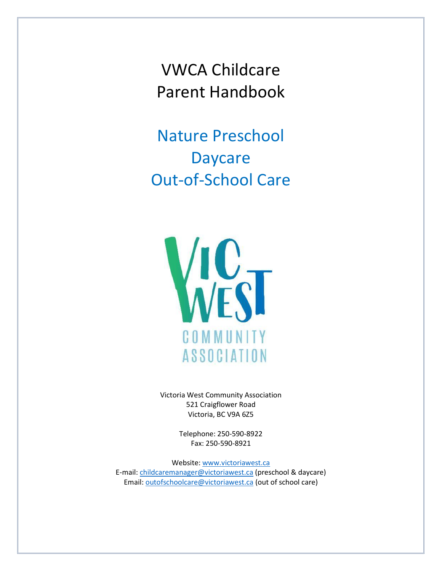VWCA Childcare Parent Handbook

Nature Preschool Daycare Out-of-School Care



Victoria West Community Association 521 Craigflower Road Victoria, BC V9A 6Z5

> Telephone: 250-590-8922 Fax: 250-590-8921

Website: [www.victoriawest.ca](http://www.victoriawest.ca/) E-mail[: childcaremanager@victoriawest.ca](mailto:childcaremanager@victoriawest.ca) (preschool & daycare) Email[: outofschoolcare@victoriawest.ca](mailto:outofschoolcare@victoriawest.ca) (out of school care)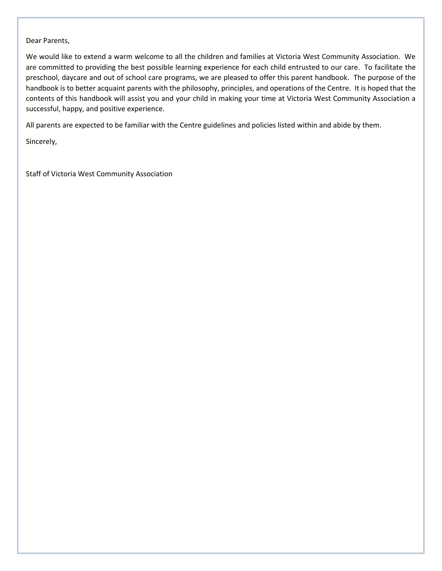#### Dear Parents,

We would like to extend a warm welcome to all the children and families at Victoria West Community Association. We are committed to providing the best possible learning experience for each child entrusted to our care. To facilitate the preschool, daycare and out of school care programs, we are pleased to offer this parent handbook. The purpose of the handbook is to better acquaint parents with the philosophy, principles, and operations of the Centre. It is hoped that the contents of this handbook will assist you and your child in making your time at Victoria West Community Association a successful, happy, and positive experience.

All parents are expected to be familiar with the Centre guidelines and policies listed within and abide by them.

Sincerely,

Staff of Victoria West Community Association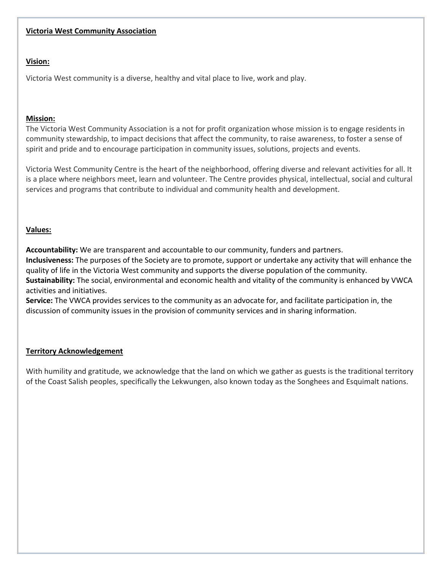#### **Victoria West Community Association**

#### **Vision:**

Victoria West community is a diverse, healthy and vital place to live, work and play.

#### **Mission:**

The Victoria West Community Association is a not for profit organization whose mission is to engage residents in community stewardship, to impact decisions that affect the community, to raise awareness, to foster a sense of spirit and pride and to encourage participation in community issues, solutions, projects and events.

Victoria West Community Centre is the heart of the neighborhood, offering diverse and relevant activities for all. It is a place where neighbors meet, learn and volunteer. The Centre provides physical, intellectual, social and cultural services and programs that contribute to individual and community health and development.

#### **Values:**

**Accountability:** We are transparent and accountable to our community, funders and partners. **Inclusiveness:** The purposes of the Society are to promote, support or undertake any activity that will enhance the quality of life in the Victoria West community and supports the diverse population of the community. **Sustainability:** The social, environmental and economic health and vitality of the community is enhanced by VWCA activities and initiatives.

**Service:** The VWCA provides services to the community as an advocate for, and facilitate participation in, the discussion of community issues in the provision of community services and in sharing information.

#### **Territory Acknowledgement**

With humility and gratitude, we acknowledge that the land on which we gather as guests is the traditional territory of the Coast Salish peoples, specifically the Lekwungen, also known today as the Songhees and Esquimalt nations.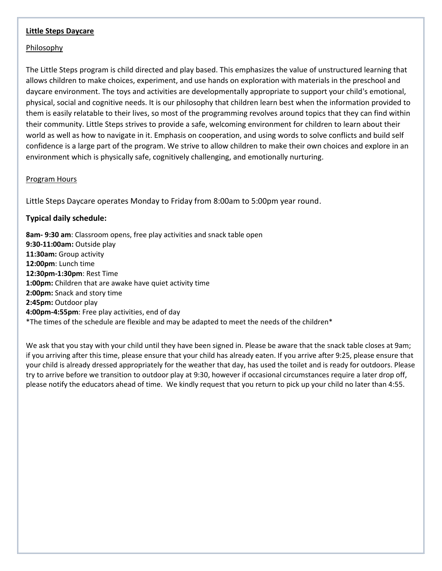#### **Little Steps Daycare**

#### Philosophy

The Little Steps program is child directed and play based. This emphasizes the value of unstructured learning that allows children to make choices, experiment, and use hands on exploration with materials in the preschool and daycare environment. The toys and activities are developmentally appropriate to support your child's emotional, physical, social and cognitive needs. It is our philosophy that children learn best when the information provided to them is easily relatable to their lives, so most of the programming revolves around topics that they can find within their community. Little Steps strives to provide a safe, welcoming environment for children to learn about their world as well as how to navigate in it. Emphasis on cooperation, and using words to solve conflicts and build self confidence is a large part of the program. We strive to allow children to make their own choices and explore in an environment which is physically safe, cognitively challenging, and emotionally nurturing.

#### Program Hours

Little Steps Daycare operates Monday to Friday from 8:00am to 5:00pm year round.

#### **Typical daily schedule:**

**8am- 9:30 am**: Classroom opens, free play activities and snack table open **9:30-11:00am:** Outside play **11:30am:** Group activity **12:00pm**: Lunch time **12:30pm-1:30pm**: Rest Time **1:00pm:** Children that are awake have quiet activity time **2:00pm:** Snack and story time **2:45pm:** Outdoor play **4:00pm-4:55pm**: Free play activities, end of day \*The times of the schedule are flexible and may be adapted to meet the needs of the children\*

We ask that you stay with your child until they have been signed in. Please be aware that the snack table closes at 9am; if you arriving after this time, please ensure that your child has already eaten. If you arrive after 9:25, please ensure that your child is already dressed appropriately for the weather that day, has used the toilet and is ready for outdoors. Please try to arrive before we transition to outdoor play at 9:30, however if occasional circumstances require a later drop off, please notify the educators ahead of time. We kindly request that you return to pick up your child no later than 4:55.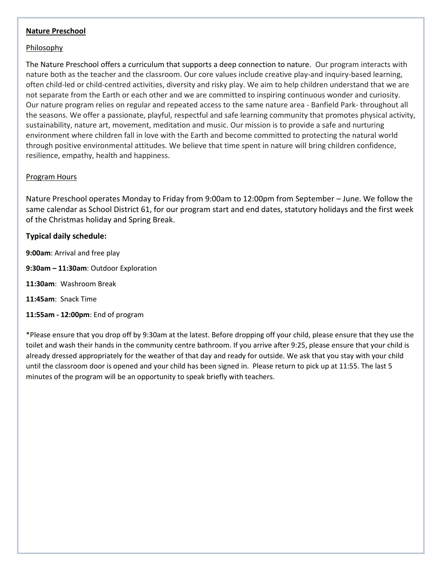#### **Nature Preschool**

#### Philosophy

The Nature Preschool offers a curriculum that supports a deep connection to nature. Our program interacts with nature both as the teacher and the classroom. Our core values include creative play-and inquiry-based learning, often child-led or child-centred activities, diversity and risky play. We aim to help children understand that we are not separate from the Earth or each other and we are committed to inspiring continuous wonder and curiosity. Our nature program relies on regular and repeated access to the same nature area - Banfield Park- throughout all the seasons. We offer a passionate, playful, respectful and safe learning community that promotes physical activity, sustainability, nature art, movement, meditation and music. Our mission is to provide a safe and nurturing environment where children fall in love with the Earth and become committed to protecting the natural world through positive environmental attitudes. We believe that time spent in nature will bring children confidence, resilience, empathy, health and happiness.

#### Program Hours

Nature Preschool operates Monday to Friday from 9:00am to 12:00pm from September – June. We follow the same calendar as School District 61, for our program start and end dates, statutory holidays and the first week of the Christmas holiday and Spring Break.

#### **Typical daily schedule:**

**9:00am**: Arrival and free play

**9:30am – 11:30am**: Outdoor Exploration

- **11:30am**: Washroom Break
- **11:45am**: Snack Time
- **11:55am - 12:00pm**: End of program

\*Please ensure that you drop off by 9:30am at the latest. Before dropping off your child, please ensure that they use the toilet and wash their hands in the community centre bathroom. If you arrive after 9:25, please ensure that your child is already dressed appropriately for the weather of that day and ready for outside. We ask that you stay with your child until the classroom door is opened and your child has been signed in. Please return to pick up at 11:55. The last 5 minutes of the program will be an opportunity to speak briefly with teachers.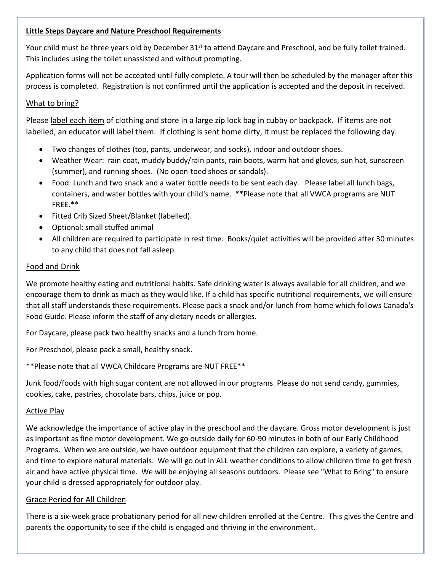### **Little Steps Daycare and Nature Preschool Requirements**

Your child must be three years old by December 31<sup>st</sup> to attend Daycare and Preschool, and be fully toilet trained. This includes using the toilet unassisted and without prompting.

Application forms will not be accepted until fully complete. A tour will then be scheduled by the manager after this process is completed. Registration is not confirmed until the application is accepted and the deposit in received.

# What to bring?

Please label each item of clothing and store in a large zip lock bag in cubby or backpack. If items are not labelled, an educator will label them. If clothing is sent home dirty, it must be replaced the following day.

- Two changes of clothes (top, pants, underwear, and socks), indoor and outdoor shoes.
- Weather Wear: rain coat, muddy buddy/rain pants, rain boots, warm hat and gloves, sun hat, sunscreen (summer), and running shoes. (No open-toed shoes or sandals).
- Food: Lunch and two snack and a water bottle needs to be sent each day. Please label all lunch bags, containers, and water bottles with your child's name. \*\*Please note that all VWCA programs are NUT FREE.\*\*
- Fitted Crib Sized Sheet/Blanket (labelled).
- Optional: small stuffed animal
- All children are required to participate in rest time. Books/quiet activities will be provided after 30 minutes to any child that does not fall asleep.

## Food and Drink

We promote healthy eating and nutritional habits. Safe drinking water is always available for all children, and we encourage them to drink as much as they would like. If a child has specific nutritional requirements, we will ensure that all staff understands these requirements. Please pack a snack and/or lunch from home which follows Canada's Food Guide. Please inform the staff of any dietary needs or allergies.

For Daycare, please pack two healthy snacks and a lunch from home.

For Preschool, please pack a small, healthy snack.

\*\*Please note that all VWCA Childcare Programs are NUT FREE\*\*

Junk food/foods with high sugar content are not allowed in our programs. Please do not send candy, gummies, cookies, cake, pastries, chocolate bars, chips, juice or pop.

# Active Play

We acknowledge the importance of active play in the preschool and the daycare. Gross motor development is just as important as fine motor development. We go outside daily for 60-90 minutes in both of our Early Childhood Programs. When we are outside, we have outdoor equipment that the children can explore, a variety of games, and time to explore natural materials. We will go out in ALL weather conditions to allow children time to get fresh air and have active physical time. We will be enjoying all seasons outdoors. Please see "What to Bring" to ensure your child is dressed appropriately for outdoor play.

# Grace Period for All Children

There is a six-week grace probationary period for all new children enrolled at the Centre. This gives the Centre and parents the opportunity to see if the child is engaged and thriving in the environment.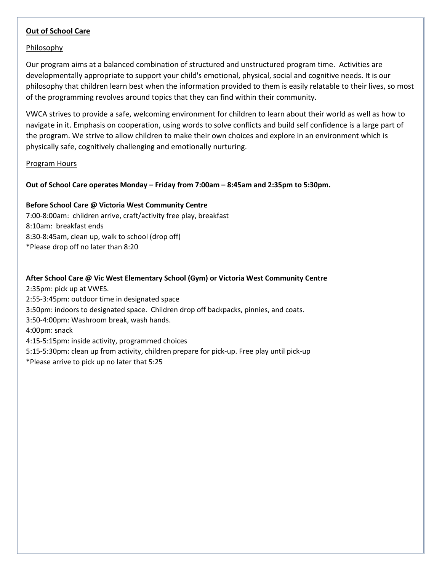#### **Out of School Care**

#### Philosophy

Our program aims at a balanced combination of structured and unstructured program time. Activities are developmentally appropriate to support your child's emotional, physical, social and cognitive needs. It is our philosophy that children learn best when the information provided to them is easily relatable to their lives, so most of the programming revolves around topics that they can find within their community.

VWCA strives to provide a safe, welcoming environment for children to learn about their world as well as how to navigate in it. Emphasis on cooperation, using words to solve conflicts and build self confidence is a large part of the program. We strive to allow children to make their own choices and explore in an environment which is physically safe, cognitively challenging and emotionally nurturing.

#### Program Hours

#### **Out of School Care operates Monday – Friday from 7:00am – 8:45am and 2:35pm to 5:30pm.**

#### **Before School Care @ Victoria West Community Centre**

7:00-8:00am: children arrive, craft/activity free play, breakfast 8:10am: breakfast ends 8:30-8:45am, clean up, walk to school (drop off) \*Please drop off no later than 8:20

#### **After School Care @ Vic West Elementary School (Gym) or Victoria West Community Centre**

2:35pm: pick up at VWES. 2:55-3:45pm: outdoor time in designated space 3:50pm: indoors to designated space. Children drop off backpacks, pinnies, and coats. 3:50-4:00pm: Washroom break, wash hands. 4:00pm: snack 4:15-5:15pm: inside activity, programmed choices 5:15-5:30pm: clean up from activity, children prepare for pick-up. Free play until pick-up \*Please arrive to pick up no later that 5:25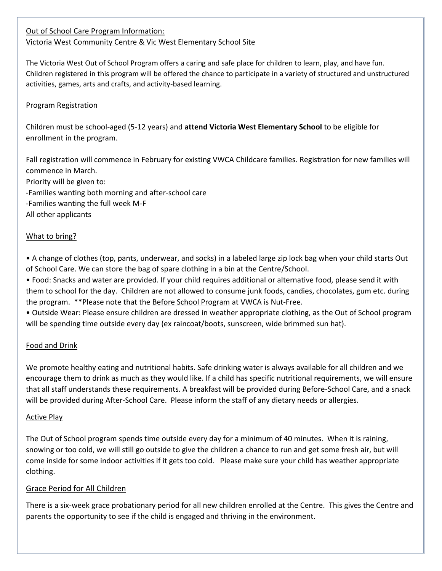# Out of School Care Program Information: Victoria West Community Centre & Vic West Elementary School Site

The Victoria West Out of School Program offers a caring and safe place for children to learn, play, and have fun. Children registered in this program will be offered the chance to participate in a variety of structured and unstructured activities, games, arts and crafts, and activity-based learning.

# Program Registration

Children must be school-aged (5-12 years) and **attend Victoria West Elementary School** to be eligible for enrollment in the program.

Fall registration will commence in February for existing VWCA Childcare families. Registration for new families will commence in March. Priority will be given to: -Families wanting both morning and after-school care -Families wanting the full week M-F All other applicants

# What to bring?

• A change of clothes (top, pants, underwear, and socks) in a labeled large zip lock bag when your child starts Out of School Care. We can store the bag of spare clothing in a bin at the Centre/School.

• Food: Snacks and water are provided. If your child requires additional or alternative food, please send it with them to school for the day. Children are not allowed to consume junk foods, candies, chocolates, gum etc. during the program. \*\*Please note that the Before School Program at VWCA is Nut-Free.

• Outside Wear: Please ensure children are dressed in weather appropriate clothing, as the Out of School program will be spending time outside every day (ex raincoat/boots, sunscreen, wide brimmed sun hat).

# Food and Drink

We promote healthy eating and nutritional habits. Safe drinking water is always available for all children and we encourage them to drink as much as they would like. If a child has specific nutritional requirements, we will ensure that all staff understands these requirements. A breakfast will be provided during Before-School Care, and a snack will be provided during After-School Care. Please inform the staff of any dietary needs or allergies.

# Active Play

The Out of School program spends time outside every day for a minimum of 40 minutes. When it is raining, snowing or too cold, we will still go outside to give the children a chance to run and get some fresh air, but will come inside for some indoor activities if it gets too cold. Please make sure your child has weather appropriate clothing.

# Grace Period for All Children

There is a six-week grace probationary period for all new children enrolled at the Centre. This gives the Centre and parents the opportunity to see if the child is engaged and thriving in the environment.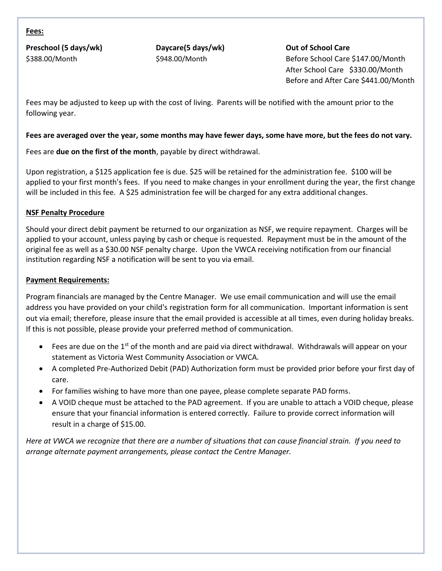#### **Fees:**

**Preschool (5 days/wk) Daycare(5 days/wk) Out of School Care**

\$388.00/Month \$948.00/Month Before School Care \$147.00/Month After School Care \$330.00/Month Before and After Care \$441.00/Month

Fees may be adjusted to keep up with the cost of living. Parents will be notified with the amount prior to the following year.

### **Fees are averaged over the year, some months may have fewer days, some have more, but the fees do not vary.**

Fees are **due on the first of the month**, payable by direct withdrawal.

Upon registration, a \$125 application fee is due. \$25 will be retained for the administration fee. \$100 will be applied to your first month's fees. If you need to make changes in your enrollment during the year, the first change will be included in this fee. A \$25 administration fee will be charged for any extra additional changes.

#### **NSF Penalty Procedure**

Should your direct debit payment be returned to our organization as NSF, we require repayment. Charges will be applied to your account, unless paying by cash or cheque is requested. Repayment must be in the amount of the original fee as well as a \$30.00 NSF penalty charge. Upon the VWCA receiving notification from our financial institution regarding NSF a notification will be sent to you via email.

#### **Payment Requirements:**

Program financials are managed by the Centre Manager. We use email communication and will use the email address you have provided on your child's registration form for all communication. Important information is sent out via email; therefore, please insure that the email provided is accessible at all times, even during holiday breaks. If this is not possible, please provide your preferred method of communication.

- Fees are due on the 1<sup>st</sup> of the month and are paid via direct withdrawal. Withdrawals will appear on your statement as Victoria West Community Association or VWCA.
- A completed Pre-Authorized Debit (PAD) Authorization form must be provided prior before your first day of care.
- For families wishing to have more than one payee, please complete separate PAD forms.
- A VOID cheque must be attached to the PAD agreement. If you are unable to attach a VOID cheque, please ensure that your financial information is entered correctly. Failure to provide correct information will result in a charge of \$15.00.

*Here at VWCA we recognize that there are a number of situations that can cause financial strain. If you need to arrange alternate payment arrangements, please contact the Centre Manager.*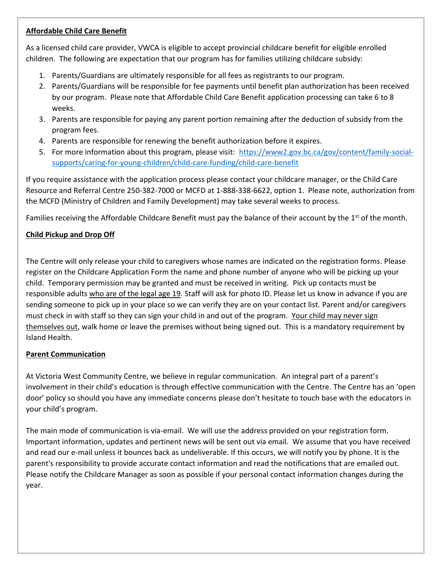#### **Affordable Child Care Benefit**

As a licensed child care provider, VWCA is eligible to accept provincial childcare benefit for eligible enrolled children. The following are expectation that our program has for families utilizing childcare subsidy:

- 1. Parents/Guardians are ultimately responsible for all fees as registrants to our program.
- 2. Parents/Guardians will be responsible for fee payments until benefit plan authorization has been received by our program. Please note that Affordable Child Care Benefit application processing can take 6 to 8 weeks.
- 3. Parents are responsible for paying any parent portion remaining after the deduction of subsidy from the program fees.
- 4. Parents are responsible for renewing the benefit authorization before it expires.
- 5. For more information about this program, please visit: [https://www2.gov.bc.ca/gov/content/family-social](https://www2.gov.bc.ca/gov/content/family-social-supports/caring-for-young-children/child-care-funding/child-care-benefit)[supports/caring-for-young-children/child-care-funding/child-care-benefit](https://www2.gov.bc.ca/gov/content/family-social-supports/caring-for-young-children/child-care-funding/child-care-benefit)

If you require assistance with the application process please contact your childcare manager, or the Child Care Resource and Referral Centre 250-382-7000 or MCFD at 1-888-338-6622, option 1. Please note, authorization from the MCFD (Ministry of Children and Family Development) may take several weeks to process.

Families receiving the Affordable Childcare Benefit must pay the balance of their account by the 1<sup>st</sup> of the month.

# **Child Pickup and Drop Off**

The Centre will only release your child to caregivers whose names are indicated on the registration forms. Please register on the Childcare Application Form the name and phone number of anyone who will be picking up your child. Temporary permission may be granted and must be received in writing. Pick up contacts must be responsible adults who are of the legal age 19. Staff will ask for photo ID. Please let us know in advance if you are sending someone to pick up in your place so we can verify they are on your contact list. Parent and/or caregivers must check in with staff so they can sign your child in and out of the program. Your child may never sign themselves out, walk home or leave the premises without being signed out. This is a mandatory requirement by Island Health.

# **Parent Communication**

At Victoria West Community Centre, we believe in regular communication. An integral part of a parent's involvement in their child's education is through effective communication with the Centre. The Centre has an 'open door' policy so should you have any immediate concerns please don't hesitate to touch base with the educators in your child's program.

The main mode of communication is via-email. We will use the address provided on your registration form. Important information, updates and pertinent news will be sent out via email. We assume that you have received and read our e-mail unless it bounces back as undeliverable. If this occurs, we will notify you by phone. It is the parent's responsibility to provide accurate contact information and read the notifications that are emailed out. Please notify the Childcare Manager as soon as possible if your personal contact information changes during the year.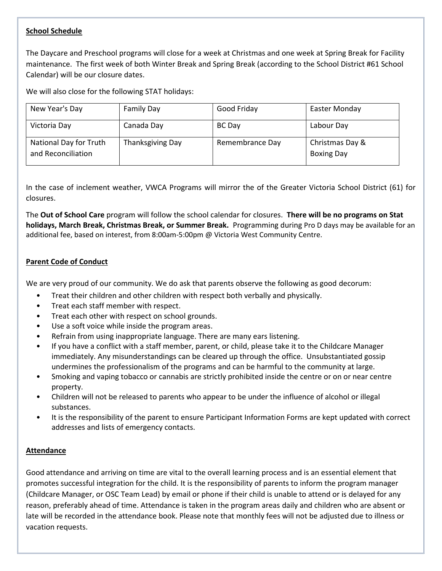# **School Schedule**

The Daycare and Preschool programs will close for a week at Christmas and one week at Spring Break for Facility maintenance. The first week of both Winter Break and Spring Break (according to the School District #61 School Calendar) will be our closure dates.

We will also close for the following STAT holidays:

| New Year's Day                               | <b>Family Day</b> | Good Friday     | <b>Easter Monday</b>                 |
|----------------------------------------------|-------------------|-----------------|--------------------------------------|
| Victoria Day                                 | Canada Day        | BC Day          | Labour Day                           |
| National Day for Truth<br>and Reconciliation | Thanksgiving Day  | Remembrance Day | Christmas Day &<br><b>Boxing Day</b> |

In the case of inclement weather, VWCA Programs will mirror the of the Greater Victoria School District (61) for closures.

The **Out of School Care** program will follow the school calendar for closures. **There will be no programs on Stat holidays, March Break, Christmas Break, or Summer Break.** Programming during Pro D days may be available for an additional fee, based on interest, from 8:00am-5:00pm @ Victoria West Community Centre.

## **Parent Code of Conduct**

We are very proud of our community. We do ask that parents observe the following as good decorum:

- Treat their children and other children with respect both verbally and physically.
- Treat each staff member with respect.
- Treat each other with respect on school grounds.
- Use a soft voice while inside the program areas.
- Refrain from using inappropriate language. There are many ears listening.
- If you have a conflict with a staff member, parent, or child, please take it to the Childcare Manager immediately. Any misunderstandings can be cleared up through the office. Unsubstantiated gossip undermines the professionalism of the programs and can be harmful to the community at large.
- Smoking and vaping tobacco or cannabis are strictly prohibited inside the centre or on or near centre property.
- Children will not be released to parents who appear to be under the influence of alcohol or illegal substances.
- It is the responsibility of the parent to ensure Participant Information Forms are kept updated with correct addresses and lists of emergency contacts.

#### **Attendance**

Good attendance and arriving on time are vital to the overall learning process and is an essential element that promotes successful integration for the child. It is the responsibility of parents to inform the program manager (Childcare Manager, or OSC Team Lead) by email or phone if their child is unable to attend or is delayed for any reason, preferably ahead of time. Attendance is taken in the program areas daily and children who are absent or late will be recorded in the attendance book. Please note that monthly fees will not be adjusted due to illness or vacation requests.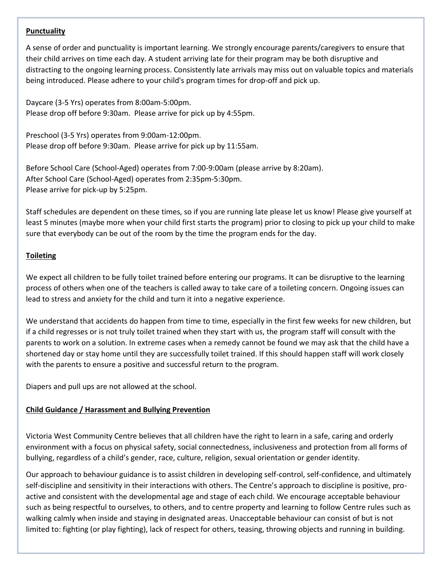#### **Punctuality**

A sense of order and punctuality is important learning. We strongly encourage parents/caregivers to ensure that their child arrives on time each day. A student arriving late for their program may be both disruptive and distracting to the ongoing learning process. Consistently late arrivals may miss out on valuable topics and materials being introduced. Please adhere to your child's program times for drop-off and pick up.

Daycare (3-5 Yrs) operates from 8:00am-5:00pm. Please drop off before 9:30am. Please arrive for pick up by 4:55pm.

Preschool (3-5 Yrs) operates from 9:00am-12:00pm. Please drop off before 9:30am. Please arrive for pick up by 11:55am.

Before School Care (School-Aged) operates from 7:00-9:00am (please arrive by 8:20am). After School Care (School-Aged) operates from 2:35pm-5:30pm. Please arrive for pick-up by 5:25pm.

Staff schedules are dependent on these times, so if you are running late please let us know! Please give yourself at least 5 minutes (maybe more when your child first starts the program) prior to closing to pick up your child to make sure that everybody can be out of the room by the time the program ends for the day.

## **Toileting**

We expect all children to be fully toilet trained before entering our programs. It can be disruptive to the learning process of others when one of the teachers is called away to take care of a toileting concern. Ongoing issues can lead to stress and anxiety for the child and turn it into a negative experience.

We understand that accidents do happen from time to time, especially in the first few weeks for new children, but if a child regresses or is not truly toilet trained when they start with us, the program staff will consult with the parents to work on a solution. In extreme cases when a remedy cannot be found we may ask that the child have a shortened day or stay home until they are successfully toilet trained. If this should happen staff will work closely with the parents to ensure a positive and successful return to the program.

Diapers and pull ups are not allowed at the school.

#### **Child Guidance / Harassment and Bullying Prevention**

Victoria West Community Centre believes that all children have the right to learn in a safe, caring and orderly environment with a focus on physical safety, social connectedness, inclusiveness and protection from all forms of bullying, regardless of a child's gender, race, culture, religion, sexual orientation or gender identity.

Our approach to behaviour guidance is to assist children in developing self-control, self-confidence, and ultimately self-discipline and sensitivity in their interactions with others. The Centre's approach to discipline is positive, proactive and consistent with the developmental age and stage of each child. We encourage acceptable behaviour such as being respectful to ourselves, to others, and to centre property and learning to follow Centre rules such as walking calmly when inside and staying in designated areas. Unacceptable behaviour can consist of but is not limited to: fighting (or play fighting), lack of respect for others, teasing, throwing objects and running in building.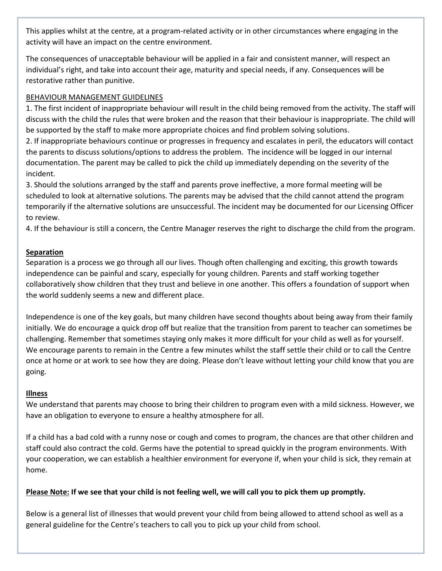This applies whilst at the centre, at a program-related activity or in other circumstances where engaging in the activity will have an impact on the centre environment.

The consequences of unacceptable behaviour will be applied in a fair and consistent manner, will respect an individual's right, and take into account their age, maturity and special needs, if any. Consequences will be restorative rather than punitive.

# BEHAVIOUR MANAGEMENT GUIDELINES

1. The first incident of inappropriate behaviour will result in the child being removed from the activity. The staff will discuss with the child the rules that were broken and the reason that their behaviour is inappropriate. The child will be supported by the staff to make more appropriate choices and find problem solving solutions.

2. If inappropriate behaviours continue or progresses in frequency and escalates in peril, the educators will contact the parents to discuss solutions/options to address the problem. The incidence will be logged in our internal documentation. The parent may be called to pick the child up immediately depending on the severity of the incident.

3. Should the solutions arranged by the staff and parents prove ineffective, a more formal meeting will be scheduled to look at alternative solutions. The parents may be advised that the child cannot attend the program temporarily if the alternative solutions are unsuccessful. The incident may be documented for our Licensing Officer to review.

4. If the behaviour is still a concern, the Centre Manager reserves the right to discharge the child from the program.

# **Separation**

Separation is a process we go through all our lives. Though often challenging and exciting, this growth towards independence can be painful and scary, especially for young children. Parents and staff working together collaboratively show children that they trust and believe in one another. This offers a foundation of support when the world suddenly seems a new and different place.

Independence is one of the key goals, but many children have second thoughts about being away from their family initially. We do encourage a quick drop off but realize that the transition from parent to teacher can sometimes be challenging. Remember that sometimes staying only makes it more difficult for your child as well as for yourself. We encourage parents to remain in the Centre a few minutes whilst the staff settle their child or to call the Centre once at home or at work to see how they are doing. Please don't leave without letting your child know that you are going.

#### **Illness**

We understand that parents may choose to bring their children to program even with a mild sickness. However, we have an obligation to everyone to ensure a healthy atmosphere for all.

If a child has a bad cold with a runny nose or cough and comes to program, the chances are that other children and staff could also contract the cold. Germs have the potential to spread quickly in the program environments. With your cooperation, we can establish a healthier environment for everyone if, when your child is sick, they remain at home.

# **Please Note: If we see that your child is not feeling well, we will call you to pick them up promptly.**

Below is a general list of illnesses that would prevent your child from being allowed to attend school as well as a general guideline for the Centre's teachers to call you to pick up your child from school.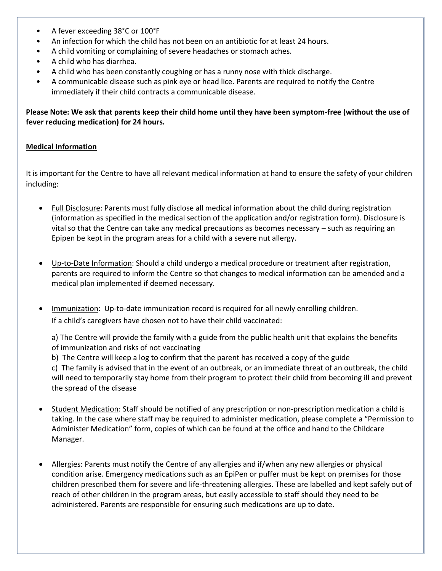- A fever exceeding 38°C or 100°F
- An infection for which the child has not been on an antibiotic for at least 24 hours.
- A child vomiting or complaining of severe headaches or stomach aches.
- A child who has diarrhea.
- A child who has been constantly coughing or has a runny nose with thick discharge.
- A communicable disease such as pink eye or head lice. Parents are required to notify the Centre immediately if their child contracts a communicable disease.

**Please Note: We ask that parents keep their child home until they have been symptom-free (without the use of fever reducing medication) for 24 hours.** 

#### **Medical Information**

It is important for the Centre to have all relevant medical information at hand to ensure the safety of your children including:

- Full Disclosure: Parents must fully disclose all medical information about the child during registration (information as specified in the medical section of the application and/or registration form). Disclosure is vital so that the Centre can take any medical precautions as becomes necessary – such as requiring an Epipen be kept in the program areas for a child with a severe nut allergy.
- Up-to-Date Information: Should a child undergo a medical procedure or treatment after registration, parents are required to inform the Centre so that changes to medical information can be amended and a medical plan implemented if deemed necessary.
- Immunization: Up-to-date immunization record is required for all newly enrolling children. If a child's caregivers have chosen not to have their child vaccinated:

a) The Centre will provide the family with a guide from the public health unit that explains the benefits of immunization and risks of not vaccinating

b) The Centre will keep a log to confirm that the parent has received a copy of the guide

c) The family is advised that in the event of an outbreak, or an immediate threat of an outbreak, the child will need to temporarily stay home from their program to protect their child from becoming ill and prevent the spread of the disease

- Student Medication: Staff should be notified of any prescription or non-prescription medication a child is taking. In the case where staff may be required to administer medication, please complete a "Permission to Administer Medication" form, copies of which can be found at the office and hand to the Childcare Manager.
- Allergies: Parents must notify the Centre of any allergies and if/when any new allergies or physical condition arise. Emergency medications such as an EpiPen or puffer must be kept on premises for those children prescribed them for severe and life-threatening allergies. These are labelled and kept safely out of reach of other children in the program areas, but easily accessible to staff should they need to be administered. Parents are responsible for ensuring such medications are up to date.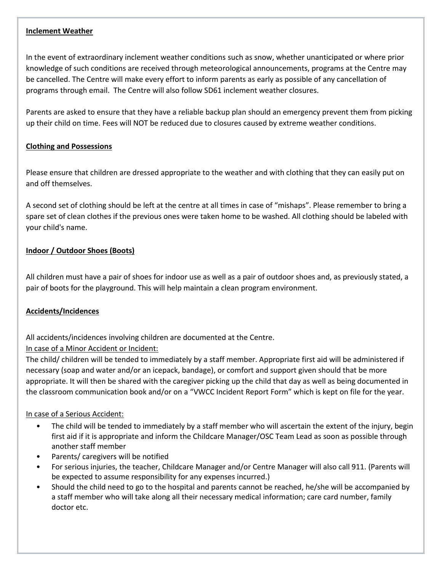#### **Inclement Weather**

In the event of extraordinary inclement weather conditions such as snow, whether unanticipated or where prior knowledge of such conditions are received through meteorological announcements, programs at the Centre may be cancelled. The Centre will make every effort to inform parents as early as possible of any cancellation of programs through email. The Centre will also follow SD61 inclement weather closures.

Parents are asked to ensure that they have a reliable backup plan should an emergency prevent them from picking up their child on time. Fees will NOT be reduced due to closures caused by extreme weather conditions.

## **Clothing and Possessions**

Please ensure that children are dressed appropriate to the weather and with clothing that they can easily put on and off themselves.

A second set of clothing should be left at the centre at all times in case of "mishaps". Please remember to bring a spare set of clean clothes if the previous ones were taken home to be washed. All clothing should be labeled with your child's name.

# **Indoor / Outdoor Shoes (Boots)**

All children must have a pair of shoes for indoor use as well as a pair of outdoor shoes and, as previously stated, a pair of boots for the playground. This will help maintain a clean program environment.

# **Accidents/Incidences**

All accidents/incidences involving children are documented at the Centre.

# In case of a Minor Accident or Incident:

The child/ children will be tended to immediately by a staff member. Appropriate first aid will be administered if necessary (soap and water and/or an icepack, bandage), or comfort and support given should that be more appropriate. It will then be shared with the caregiver picking up the child that day as well as being documented in the classroom communication book and/or on a "VWCC Incident Report Form" which is kept on file for the year.

#### In case of a Serious Accident:

- The child will be tended to immediately by a staff member who will ascertain the extent of the injury, begin first aid if it is appropriate and inform the Childcare Manager/OSC Team Lead as soon as possible through another staff member
- Parents/ caregivers will be notified
- For serious injuries, the teacher, Childcare Manager and/or Centre Manager will also call 911. (Parents will be expected to assume responsibility for any expenses incurred.)
- Should the child need to go to the hospital and parents cannot be reached, he/she will be accompanied by a staff member who will take along all their necessary medical information; care card number, family doctor etc.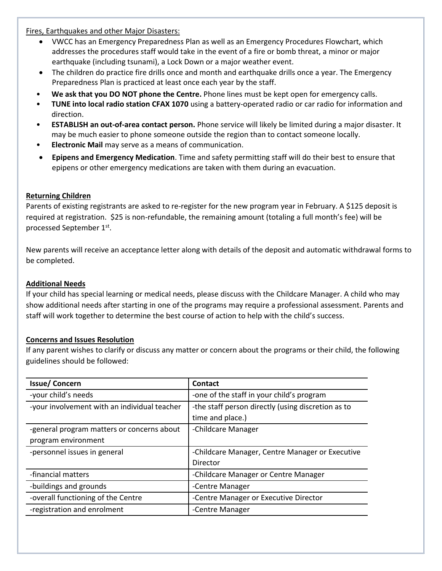Fires, Earthquakes and other Major Disasters:

- VWCC has an Emergency Preparedness Plan as well as an Emergency Procedures Flowchart, which addresses the procedures staff would take in the event of a fire or bomb threat, a minor or major earthquake (including tsunami), a Lock Down or a major weather event.
- The children do practice fire drills once and month and earthquake drills once a year. The Emergency Preparedness Plan is practiced at least once each year by the staff.
- **We ask that you DO NOT phone the Centre.** Phone lines must be kept open for emergency calls.
- **TUNE into local radio station CFAX 1070** using a battery-operated radio or car radio for information and direction.
- **ESTABLISH an out-of-area contact person.** Phone service will likely be limited during a major disaster. It may be much easier to phone someone outside the region than to contact someone locally.
- **Electronic Mail** may serve as a means of communication.
- **Epipens and Emergency Medication**. Time and safety permitting staff will do their best to ensure that epipens or other emergency medications are taken with them during an evacuation.

#### **Returning Children**

Parents of existing registrants are asked to re-register for the new program year in February. A \$125 deposit is required at registration. \$25 is non-refundable, the remaining amount (totaling a full month's fee) will be processed September 1st.

New parents will receive an acceptance letter along with details of the deposit and automatic withdrawal forms to be completed.

#### **Additional Needs**

If your child has special learning or medical needs, please discuss with the Childcare Manager. A child who may show additional needs after starting in one of the programs may require a professional assessment. Parents and staff will work together to determine the best course of action to help with the child's success.

#### **Concerns and Issues Resolution**

If any parent wishes to clarify or discuss any matter or concern about the programs or their child, the following guidelines should be followed:

| <b>Issue/Concern</b>                         | Contact                                            |
|----------------------------------------------|----------------------------------------------------|
| -your child's needs                          | -one of the staff in your child's program          |
| -your involvement with an individual teacher | -the staff person directly (using discretion as to |
|                                              | time and place.)                                   |
| -general program matters or concerns about   | -Childcare Manager                                 |
| program environment                          |                                                    |
| -personnel issues in general                 | -Childcare Manager, Centre Manager or Executive    |
|                                              | Director                                           |
| -financial matters                           | -Childcare Manager or Centre Manager               |
| -buildings and grounds                       | -Centre Manager                                    |
| -overall functioning of the Centre           | -Centre Manager or Executive Director              |
| -registration and enrolment                  | -Centre Manager                                    |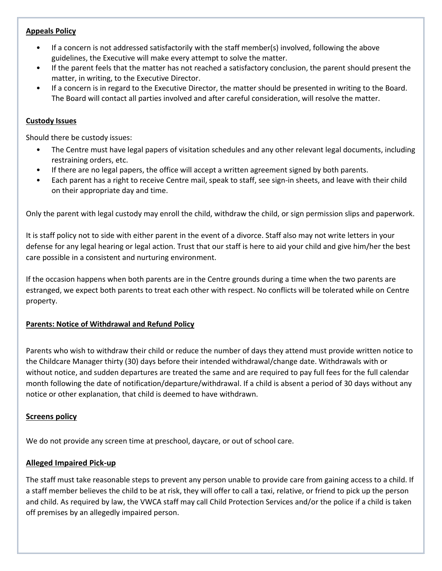#### **Appeals Policy**

- If a concern is not addressed satisfactorily with the staff member(s) involved, following the above guidelines, the Executive will make every attempt to solve the matter.
- If the parent feels that the matter has not reached a satisfactory conclusion, the parent should present the matter, in writing, to the Executive Director.
- If a concern is in regard to the Executive Director, the matter should be presented in writing to the Board. The Board will contact all parties involved and after careful consideration, will resolve the matter.

#### **Custody Issues**

Should there be custody issues:

- The Centre must have legal papers of visitation schedules and any other relevant legal documents, including restraining orders, etc.
- If there are no legal papers, the office will accept a written agreement signed by both parents.
- Each parent has a right to receive Centre mail, speak to staff, see sign-in sheets, and leave with their child on their appropriate day and time.

Only the parent with legal custody may enroll the child, withdraw the child, or sign permission slips and paperwork.

It is staff policy not to side with either parent in the event of a divorce. Staff also may not write letters in your defense for any legal hearing or legal action. Trust that our staff is here to aid your child and give him/her the best care possible in a consistent and nurturing environment.

If the occasion happens when both parents are in the Centre grounds during a time when the two parents are estranged, we expect both parents to treat each other with respect. No conflicts will be tolerated while on Centre property.

#### **Parents: Notice of Withdrawal and Refund Policy**

Parents who wish to withdraw their child or reduce the number of days they attend must provide written notice to the Childcare Manager thirty (30) days before their intended withdrawal/change date. Withdrawals with or without notice, and sudden departures are treated the same and are required to pay full fees for the full calendar month following the date of notification/departure/withdrawal. If a child is absent a period of 30 days without any notice or other explanation, that child is deemed to have withdrawn.

#### **Screens policy**

We do not provide any screen time at preschool, daycare, or out of school care.

#### **Alleged Impaired Pick-up**

The staff must take reasonable steps to prevent any person unable to provide care from gaining access to a child. If a staff member believes the child to be at risk, they will offer to call a taxi, relative, or friend to pick up the person and child. As required by law, the VWCA staff may call Child Protection Services and/or the police if a child is taken off premises by an allegedly impaired person.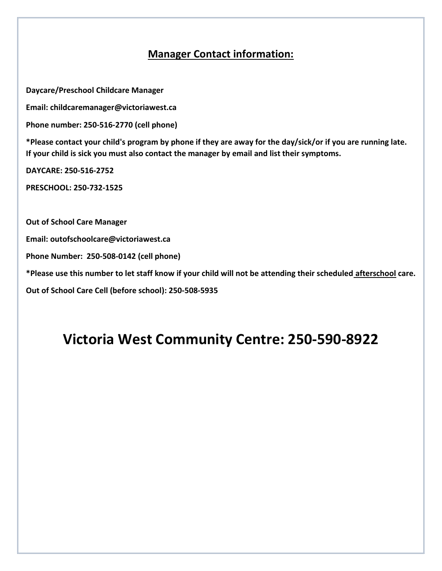# **Manager Contact information:**

**Daycare/Preschool Childcare Manager**

**Email: childcaremanager@victoriawest.ca**

**Phone number: 250-516-2770 (cell phone)**

**\*Please contact your child's program by phone if they are away for the day/sick/or if you are running late. If your child is sick you must also contact the manager by email and list their symptoms.**

**DAYCARE: 250-516-2752**

**PRESCHOOL: 250-732-1525**

**Out of School Care Manager**

**Email: [outofschoolcare@victoriawest.ca](mailto:outofschoolcare@victoriawest.ca)**

**Phone Number: 250-508-0142 (cell phone)**

**\*Please use this number to let staff know if your child will not be attending their scheduled afterschool care.**

**Out of School Care Cell (before school): 250-508-5935** 

# **Victoria West Community Centre: 250-590-8922**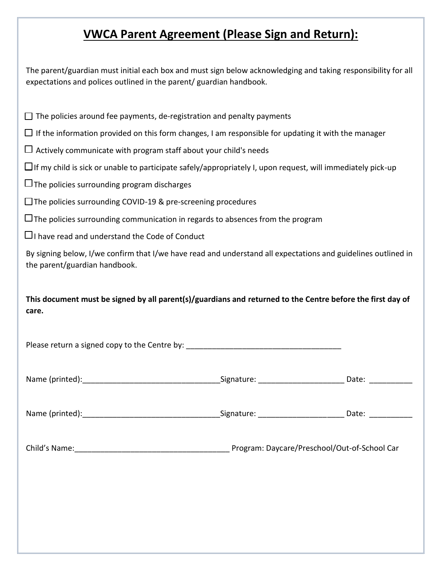# **VWCA Parent Agreement (Please Sign and Return):**

The parent/guardian must initial each box and must sign below acknowledging and taking responsibility for all expectations and polices outlined in the parent/ guardian handbook.

 $\Box$  The policies around fee payments, de-registration and penalty payments

 $\Box$  If the information provided on this form changes, I am responsible for updating it with the manager

 $\Box$  Actively communicate with program staff about your child's needs

 $\Box$  If my child is sick or unable to participate safely/appropriately I, upon request, will immediately pick-up

 $\Box$  The policies surrounding program discharges

 $\Box$  The policies surrounding COVID-19 & pre-screening procedures

 $\Box$  The policies surrounding communication in regards to absences from the program

 $\Box$  I have read and understand the Code of Conduct

By signing below, I/we confirm that I/we have read and understand all expectations and guidelines outlined in the parent/guardian handbook.

**This document must be signed by all parent(s)/guardians and returned to the Centre before the first day of care.**